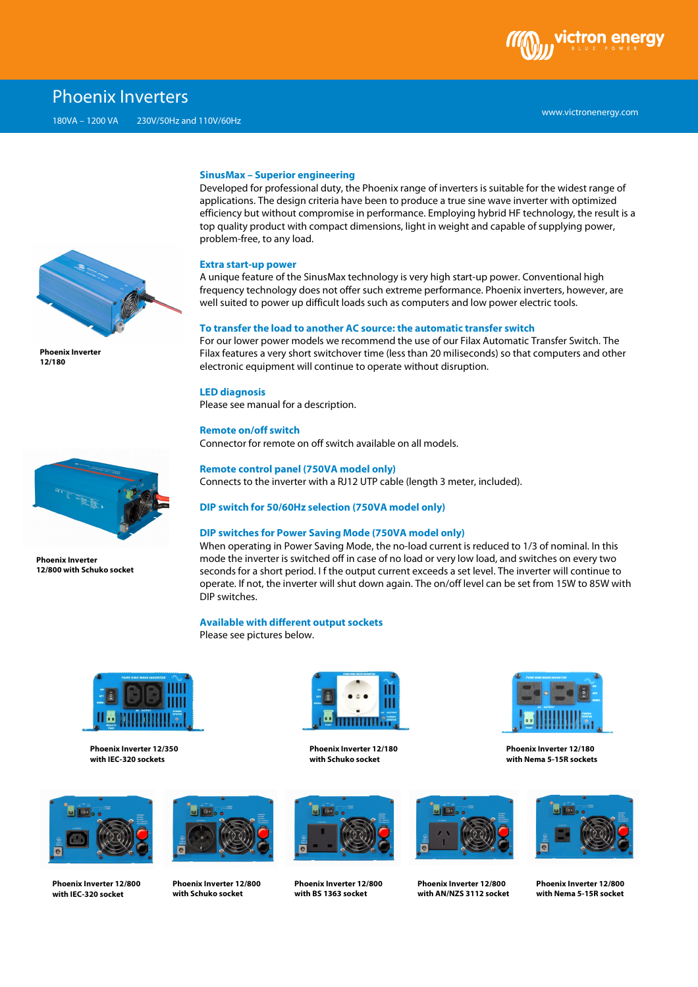

# Phoenix Inverters



**Phoenix Inverter 12/180** 

#### **SinusMax – Superior engineering**

Developed for professional duty, the Phoenix range of inverters is suitable for the widest range of applications. The design criteria have been to produce a true sine wave inverter with optimized efficiency but without compromise in performance. Employing hybrid HF technology, the result is a top quality product with compact dimensions, light in weight and capable of supplying power, problem-free, to any load.

#### **Extra start-up power**

A unique feature of the SinusMax technology is very high start-up power. Conventional high frequency technology does not offer such extreme performance. Phoenix inverters, however, are well suited to power up difficult loads such as computers and low power electric tools.

#### **To transfer the load to another AC source: the automatic transfer switch**

For our lower power models we recommend the use of our Filax Automatic Transfer Switch. The Filax features a very short switchover time (less than 20 miliseconds) so that computers and other electronic equipment will continue to operate without disruption.

### **LED diagnosis**

Please see manual for a description.

## **Remote on/off switch**

Connector for remote on off switch available on all models.

### **Remote control panel (750VA model only)**

Connects to the inverter with a RJ12 UTP cable (length 3 meter, included).

### **DIP switch for 50/60Hz selection (750VA model only)**

## **DIP switches for Power Saving Mode (750VA model only)**

When operating in Power Saving Mode, the no-load current is reduced to 1/3 of nominal. In this mode the inverter is switched off in case of no load or very low load, and switches on every two seconds for a short period. I f the output current exceeds a set level. The inverter will continue to operate. If not, the inverter will shut down again. The on/off level can be set from 15W to 85W with DIP switches.

## **Available with different output sockets**

Please see pictures below.



**Phoenix Inverter 12/350 with IEC-320 sockets** 



**Phoenix Inverter 12/800 with IEC-320 socket** 



**Phoenix Inverter 12/800 with Schuko socket**



**Phoenix Inverter 12/180 with Schuko socket**



**Phoenix Inverter 12/800 with BS 1363 socket**



**Phoenix Inverter 12/800 with AN/NZS 3112 socket**



**Phoenix Inverter 12/180 with Nema 5-15R sockets**



**Phoenix Inverter 12/800 with Nema 5-15R socket**



**Phoenix Inverter 12/800 with Schuko socket**